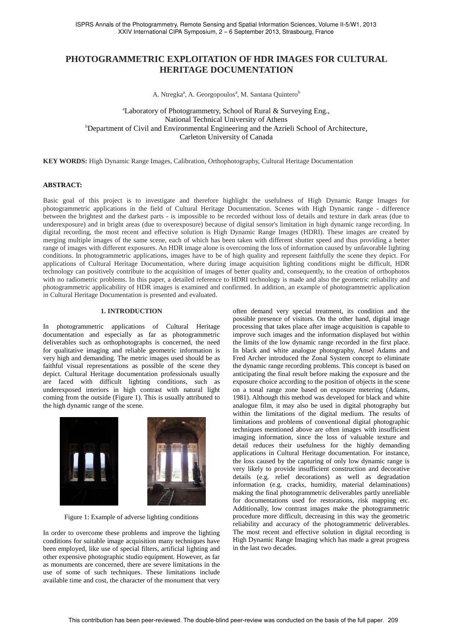# **PHOTOGRAMMETRIC EXPLOITATION OF HDR IMAGES FOR CULTURAL HERITAGE DOCUMENTATION**

A. Ntregka<sup>a</sup>, A. Georgopoulos<sup>a</sup>, M. Santana Quintero<sup>b</sup>

<sup>a</sup>Laboratory of Photogrammetry, School of Rural & Surveying Eng., National Technical University of Athens **bDepartment of Civil and Environmental Engineering and the Azrieli School of Architecture,** Carleton University of Canada

**KEY WORDS:** High Dynamic Range Images, Calibration, Orthophotography, Cultural Heritage Documentation

### **ABSTRACT:**

Basic goal of this project is to investigate and therefore highlight the usefulness of High Dynamic Range Images for photogrammetric applications in the field of Cultural Heritage Documentation. Scenes with High Dynamic range - difference between the brightest and the darkest parts - is impossible to be recorded without loss of details and texture in dark areas (due to underexposure) and in bright areas (due to overexposure) because of digital sensor's limitation in high dynamic range recording. In digital recording, the most recent and effective solution is High Dynamic Range Images (HDRI). These images are created by merging multiple images of the same scene, each of which has been taken with different shutter speed and thus providing a better range of images with different exposures. An HDR image alone is overcoming the loss of information caused by unfavorable lighting conditions. In photogrammetric applications, images have to be of high quality and represent faithfully the scene they depict. For applications of Cultural Heritage Documentation, where during image acquisition lighting conditions might be difficult, HDR technology can positively contribute to the acquisition of images of better quality and, consequently, to the creation of orthophotos with no radiometric problems. In this paper, a detailed reference to HDRI technology is made and also the geometric reliability and photogrammetric applicability of HDR images is examined and confirmed. In addition, an example of photogrammetric application in Cultural Heritage Documentation is presented and evaluated.

### **1. INTRODUCTION**

In photogrammetric applications of Cultural Heritage documentation and especially as far as photogrammetric deliverables such as orthophotographs is concerned, the need for qualitative imaging and reliable geometric information is very high and demanding. The metric images used should be as faithful visual representations as possible of the scene they depict. Cultural Heritage documentation professionals usually are faced with difficult lighting conditions, such as underexposed interiors in high contrast with natural light coming from the outside (Figure 1). This is usually attributed to the high dynamic range of the scene.



Figure 1: Example of adverse lighting conditions

In order to overcome these problems and improve the lighting conditions for suitable image acquisition many techniques have been employed, like use of special filters, artificial lighting and other expensive photographic studio equipment. However, as far as monuments are concerned, there are severe limitations in the use of some of such techniques. These limitations include available time and cost, the character of the monument that very

often demand very special treatment, its condition and the possible presence of visitors. On the other hand, digital image processing that takes place after image acquisition is capable to improve such images and the information displayed but within the limits of the low dynamic range recorded in the first place. In black and white analogue photography, Ansel Adams and Fred Archer introduced the Zonal System concept to eliminate the dynamic range recording problems. This concept is based on anticipating the final result before making the exposure and the exposure choice according to the position of objects in the scene on a tonal range zone based on exposure metering (Adams, 1981). Although this method was developed for black and white analogue film, it may also be used in digital photography but within the limitations of the digital medium. The results of limitations and problems of conventional digital photographic techniques mentioned above are often images with insufficient imaging information, since the loss of valuable texture and detail reduces their usefulness for the highly demanding applications in Cultural Heritage documentation. For instance, the loss caused by the capturing of only low dynamic range is very likely to provide insufficient construction and decorative details (e.g. relief decorations) as well as degradation information (e.g. cracks, humidity, material delaminations) making the final photogrammetric deliverables partly unreliable for documentations used for restorations, risk mapping etc. Additionally, low contrast images make the photogrammetric procedure more difficult, decreasing in this way the geometric reliability and accuracy of the photogrammetric deliverables. The most recent and effective solution in digital recording is High Dynamic Range Imaging which has made a great progress in the last two decades.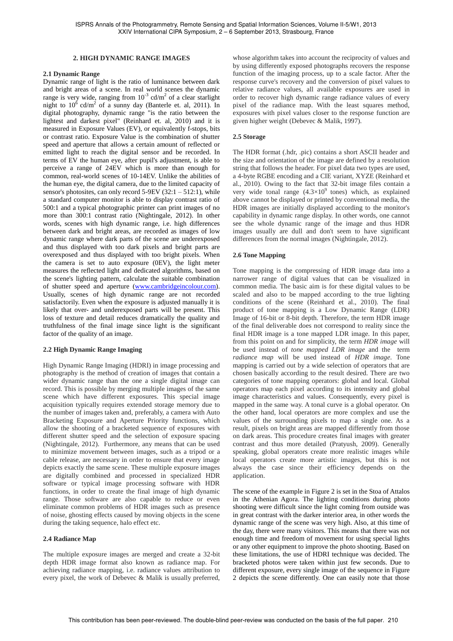#### **2. HIGH DYNAMIC RANGE IMAGES**

#### **2.1 Dynamic Range**

Dynamic range of light is the ratio of luminance between dark and bright areas of a scene. In real world scenes the dynamic range is very wide, ranging from  $10^{-3}$  cd/m<sup>2</sup> of a clear starlight night to  $10^6$  cd/m<sup>2</sup> of a sunny day (Banterle et. al, 2011). In digital photography, dynamic range "is the ratio between the lightest and darkest pixel" (Reinhard et. al, 2010) and it is measured in Exposure Values (EV), or equivalently f-stops, bits or contrast ratio. Exposure Value is the combination of shutter speed and aperture that allows a certain amount of reflected or emitted light to reach the digital sensor and be recorded. In terms of EV the human eye, after pupil's adjustment, is able to perceive a range of 24EV which is more than enough for common, real-world scenes of 10-14EV. Unlike the abilities of the human eye, the digital camera, due to the limited capacity of sensor's photosites, can only record 5-9EV (32:1 – 512:1), while a standard computer monitor is able to display contrast ratio of 500:1 and a typical photographic printer can print images of no more than 300:1 contrast ratio (Nightingale, 2012). In other words, scenes with high dynamic range, i.e. high differences between dark and bright areas, are recorded as images of low dynamic range where dark parts of the scene are underexposed and thus displayed with too dark pixels and bright parts are overexposed and thus displayed with too bright pixels. When the camera is set to auto exposure (0EV), the light meter measures the reflected light and dedicated algorithms, based on the scene's lighting pattern, calculate the suitable combination of shutter speed and aperture (www.cambridgeincolour.com). Usually, scenes of high dynamic range are not recorded satisfactorily. Even when the exposure is adjusted manually it is likely that over- and underexposed parts will be present. This loss of texture and detail reduces dramatically the quality and truthfulness of the final image since light is the significant factor of the quality of an image.

#### **2.2 High Dynamic Range Imaging**

High Dynamic Range Imaging (HDRI) in image processing and photography is the method of creation of images that contain a wider dynamic range than the one a single digital image can record. This is possible by merging multiple images of the same scene which have different exposures. This special image acquisition typically requires extended storage memory due to the number of images taken and, preferably, a camera with Auto Bracketing Exposure and Aperture Priority functions, which allow the shooting of a bracketed sequence of exposures with different shutter speed and the selection of exposure spacing (Nightingale, 2012). Furthermore, any means that can be used to minimize movement between images, such as a tripod or a cable release, are necessary in order to ensure that every image depicts exactly the same scene. These multiple exposure images are digitally combined and processed in specialized HDR software or typical image processing software with HDR functions, in order to create the final image of high dynamic range. Those software are also capable to reduce or even eliminate common problems of HDR images such as presence of noise, ghosting effects caused by moving objects in the scene during the taking sequence, halo effect etc.

## **2.4 Radiance Map**

The multiple exposure images are merged and create a 32-bit depth HDR image format also known as radiance map. For achieving radiance mapping, i.e. radiance values attribution to every pixel, the work of Debevec & Malik is usually preferred,

whose algorithm takes into account the reciprocity of values and by using differently exposed photographs recovers the response function of the imaging process, up to a scale factor. After the response curve's recovery and the conversion of pixel values to relative radiance values, all available exposures are used in order to recover high dynamic range radiance values of every pixel of the radiance map. With the least squares method, exposures with pixel values closer to the response function are given higher weight (Debevec & Malik, 1997).

#### **2.5 Storage**

The HDR format (.hdr, .pic) contains a short ASCII header and the size and orientation of the image are defined by a resolution string that follows the header. For pixel data two types are used, a 4-byte RGBE encoding and a CIE variant, XYZE (Reinhard et al., 2010). Owing to the fact that 32-bit image files contain a very wide tonal range  $(4.3\times10^{9}$  tones) which, as explained above cannot be displayed or printed by conventional media, the HDR images are initially displayed according to the monitor's capability in dynamic range display. In other words, one cannot see the whole dynamic range of the image and thus HDR images usually are dull and don't seem to have significant differences from the normal images (Nightingale, 2012).

#### **2.6 Tone Mapping**

Tone mapping is the compressing of HDR image data into a narrower range of digital values that can be visualized in common media. The basic aim is for these digital values to be scaled and also to be mapped according to the true lighting conditions of the scene (Reinhard et al., 2010). The final product of tone mapping is a Low Dynamic Range (LDR) Image of 16-bit or 8-bit depth. Therefore, the term HDR image of the final deliverable does not correspond to reality since the final HDR image is a tone mapped LDR image. In this paper, from this point on and for simplicity, the term *HDR image* will be used instead of *tone mapped LDR image* and the term *radiance map* will be used instead of *HDR image*. Tone mapping is carried out by a wide selection of operators that are chosen basically according to the result desired. There are two categories of tone mapping operators: global and local. Global operators map each pixel according to its intensity and global image characteristics and values. Consequently, every pixel is mapped in the same way. A tonal curve is a global operator. On the other hand, local operators are more complex and use the values of the surrounding pixels to map a single one. As a result, pixels on bright areas are mapped differently from those on dark areas. This procedure creates final images with greater contrast and thus more detailed (Pratyush, 2009). Generally speaking, global operators create more realistic images while local operators create more artistic images, but this is not always the case since their efficiency depends on the application.

The scene of the example in Figure 2 is set in the Stoa of Attalos in the Athenian Agora. The lighting conditions during photo shooting were difficult since the light coming from outside was in great contrast with the darker interior area, in other words the dynamic range of the scene was very high. Also, at this time of the day, there were many visitors. This means that there was not enough time and freedom of movement for using special lights or any other equipment to improve the photo shooting. Based on these limitations, the use of HDRI technique was decided. The bracketed photos were taken within just few seconds. Due to different exposure, every single image of the sequence in Figure 2 depicts the scene differently. One can easily note that those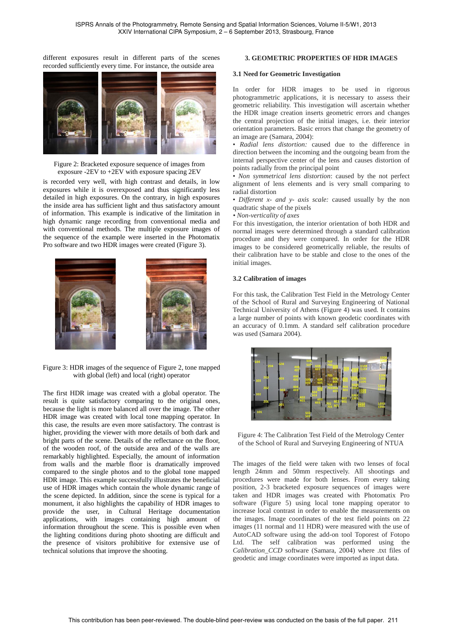different exposures result in different parts of the scenes recorded sufficiently every time. For instance, the outside area



Figure 2: Bracketed exposure sequence of images from exposure -2EV to +2EV with exposure spacing 2EV

is recorded very well, with high contrast and details, in low exposures while it is overexposed and thus significantly less detailed in high exposures. On the contrary, in high exposures the inside area has sufficient light and thus satisfactory amount of information. This example is indicative of the limitation in high dynamic range recording from conventional media and with conventional methods. The multiple exposure images of the sequence of the example were inserted in the Photomatix Pro software and two HDR images were created (Figure 3).



Figure 3: HDR images of the sequence of Figure 2, tone mapped with global (left) and local (right) operator

The first HDR image was created with a global operator. The result is quite satisfactory comparing to the original ones, because the light is more balanced all over the image. The other HDR image was created with local tone mapping operator. In this case, the results are even more satisfactory. The contrast is higher, providing the viewer with more details of both dark and bright parts of the scene. Details of the reflectance on the floor, of the wooden roof, of the outside area and of the walls are remarkably highlighted. Especially, the amount of information from walls and the marble floor is dramatically improved compared to the single photos and to the global tone mapped HDR image. This example successfully illustrates the beneficial use of HDR images which contain the whole dynamic range of the scene depicted. In addition, since the scene is typical for a monument, it also highlights the capability of HDR images to provide the user, in Cultural Heritage documentation applications, with images containing high amount of information throughout the scene. This is possible even when the lighting conditions during photo shooting are difficult and the presence of visitors prohibitive for extensive use of technical solutions that improve the shooting.

# **3. GEOMETRIC PROPERTIES OF HDR IMAGES**

#### **3.1 Need for Geometric Investigation**

In order for HDR images to be used in rigorous photogrammetric applications, it is necessary to assess their geometric reliability. This investigation will ascertain whether the HDR image creation inserts geometric errors and changes the central projection of the initial images, i.e. their interior orientation parameters. Basic errors that change the geometry of an image are (Samara, 2004):

• *Radial lens distortion:* caused due to the difference in direction between the incoming and the outgoing beam from the internal perspective center of the lens and causes distortion of points radially from the principal point

• *Non symmetrical lens distortion*: caused by the not perfect alignment of lens elements and is very small comparing to radial distortion

• *Different x- and y- axis scale:* caused usually by the non quadratic shape of the pixels

*• Non-verticality of axes*

For this investigation, the interior orientation of both HDR and normal images were determined through a standard calibration procedure and they were compared. In order for the HDR images to be considered geometrically reliable, the results of their calibration have to be stable and close to the ones of the initial images.

## **3.2 Calibration of images**

For this task, the Calibration Test Field in the Metrology Center of the School of Rural and Surveying Engineering of National Technical University of Athens (Figure 4) was used. It contains a large number of points with known geodetic coordinates with an accuracy of 0.1mm. A standard self calibration procedure was used (Samara 2004).



Figure 4: The Calibration Test Field of the Metrology Center of the School of Rural and Surveying Engineering of NTUA

The images of the field were taken with two lenses of focal length 24mm and 50mm respectively. All shootings and procedures were made for both lenses. From every taking position, 2-3 bracketed exposure sequences of images were taken and HDR images was created with Photomatix Pro software (Figure 5) using local tone mapping operator to increase local contrast in order to enable the measurements on the images. Image coordinates of the test field points on 22 images (11 normal and 11 HDR) were measured with the use of AutoCAD software using the add-on tool Toporest of Fotopo Ltd. The self calibration was performed using the *Calibration\_CCD* software (Samara, 2004) where .txt files of geodetic and image coordinates were imported as input data.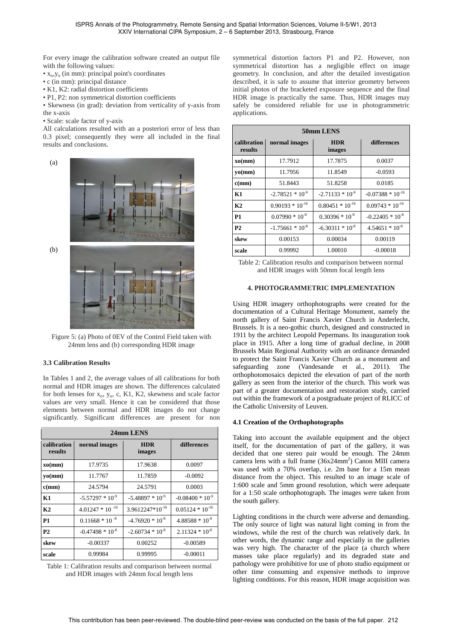For every image the calibration software created an output file with the following values:

- x<sub>o</sub>,y<sub>o</sub> (in mm): principal point's coordinates
- c (in mm): principal distance
- K1, K2: radial distortion coefficients
- P1, P2: non symmetrical distortion coefficients

• Skewness (in grad): deviation from verticality of y-axis from the x-axis

• Scale: scale factor of y-axis

All calculations resulted with an a posteriori error of less than 0.3 pixel; consequently they were all included in the final results and conclusions.



Figure 5: (a) Photo of 0EV of the Control Field taken with 24mm lens and (b) corresponding HDR image

# **3.3 Calibration Results**

In Tables 1 and 2, the average values of all calibrations for both normal and HDR images are shown. The differences calculated for both lenses for  $x_0$ ,  $y_0$ , c, K1, K2, skewness and scale factor values are very small. Hence it can be considered that those elements between normal and HDR images do not change significantly. Significant differences are present for non

| 24mm LENS              |                      |                             |                      |  |
|------------------------|----------------------|-----------------------------|----------------------|--|
| calibration<br>results | normal images        | <b>HDR</b><br>images        | differences          |  |
| xo(mm)                 | 17.9735              | 17.9638                     | 0.0097               |  |
| yo(mm)                 | 11.7767              | 11.7859                     | $-0.0092$            |  |
| c(mm)                  | 24.5794              | 24.5791                     | 0.0003               |  |
| K1                     | $-5.57297 * 10^{-9}$ | $-5.48897 * 10^{-9}$        | $-0.08400 * 10^{-9}$ |  |
| K <sub>2</sub>         | $4.01247 * 10^{-16}$ | 3.9612247*10 <sup>-16</sup> | $0.05124 * 10^{-16}$ |  |
| P <sub>1</sub>         | $0.11668 * 10^{-8}$  | $-4.76920 * 10^{-8}$        | $4.88588 * 10^{-8}$  |  |
| P <sub>2</sub>         | $-0.47498 * 10^{-8}$ | $-2.60734 * 10^{-8}$        | $2.11324 * 10^{-8}$  |  |
| skew                   | $-0.00337$           | 0.00252                     | $-0.00589$           |  |
| scale                  | 0.99984              | 0.99995                     | $-0.00011$           |  |

Table 1: Calibration results and comparison between normal and HDR images with 24mm focal length lens

symmetrical distortion factors P1 and P2. However, non symmetrical distortion has a negligible effect on image geometry. In conclusion, and after the detailed investigation described, it is safe to assume that interior geometry between initial photos of the bracketed exposure sequence and the final HDR image is practically the same. Thus, HDR images may safely be considered reliable for use in photogrammetric applications.

| 50mm LENS              |                      |                      |                       |  |
|------------------------|----------------------|----------------------|-----------------------|--|
| calibration<br>results | normal images        | <b>HDR</b><br>images | differences           |  |
| xo(nm)                 | 17.7912              | 17.7875              | 0.0037                |  |
| yo(mm)                 | 11.7956              | 11.8549              | $-0.0593$             |  |
| c(mm)                  | 51.8443              | 51.8258              | 0.0185                |  |
| K1                     | $-2.78521 * 10^{-9}$ | $-2.71133 * 10^{-9}$ | $-0.07388 * 10^{-16}$ |  |
| K <sub>2</sub>         | $0.90193 * 10^{-16}$ | $0.80451 * 10^{-16}$ | $0.09743 * 10^{-16}$  |  |
| P1                     | $0.07990 * 10^{-8}$  | $0.30396 * 10^{-8}$  | $-0.22405 * 10^{-8}$  |  |
| <b>P2</b>              | $-1.75661 * 10^{-8}$ | $-6.30311 * 10^{-8}$ | $4.54651 * 10^{-8}$   |  |
| skew                   | 0.00153              | 0.00034              | 0.00119               |  |
| scale                  | 0.99992              | 1.00010              | $-0.00018$            |  |

Table 2: Calibration results and comparison between normal and HDR images with 50mm focal length lens

## **4. PHOTOGRAMMETRIC IMPLEMENTATION**

Using HDR imagery orthophotographs were created for the documentation of a Cultural Heritage Monument, namely the north gallery of Saint Francis Xavier Church in Anderlecht, Brussels. It is a neo-gothic church, designed and constructed in 1911 by the architect Leopold Pepermans. Its inauguration took place in 1915. After a long time of gradual decline, in 2008 Brussels Main Regional Authority with an ordinance demanded to protect the Saint Francis Xavier Church as a monument and safeguarding zone (Vandesande et al., 2011). The orthophotomosaics depicted the elevation of part of the north gallery as seen from the interior of the church. This work was part of a greater documentation and restoration study, carried out within the framework of a postgraduate project of RLICC of the Catholic University of Leuven.

# **4.1 Creation of the Orthophotographs**

Taking into account the available equipment and the object itself, for the documentation of part of the gallery, it was decided that one stereo pair would be enough. The 24mm camera lens with a full frame  $(36x24mm^2)$  Canon MIII camera was used with a 70% overlap, i.e. 2m base for a 15m mean distance from the object. This resulted to an image scale of 1:600 scale and 5mm ground resolution, which were adequate for a 1:50 scale orthophotograph. The images were taken from the south gallery.

Lighting conditions in the church were adverse and demanding. The only source of light was natural light coming in from the windows, while the rest of the church was relatively dark. In other words, the dynamic range and especially in the galleries was very high. The character of the place (a church where masses take place regularly) and its degraded state and pathology were prohibitive for use of photo studio equipment or other time consuming and expensive methods to improve lighting conditions. For this reason, HDR image acquisition was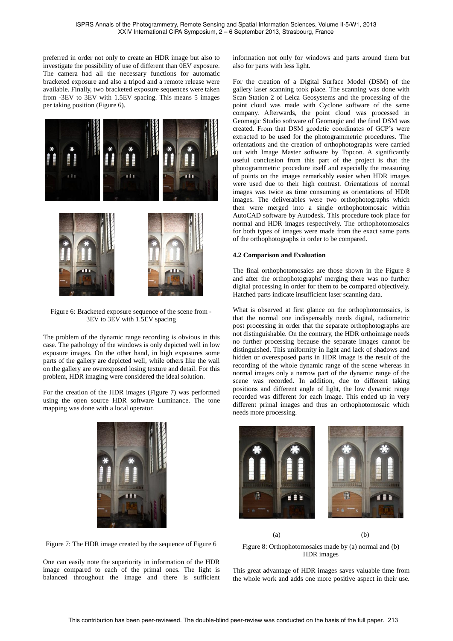preferred in order not only to create an HDR image but also to investigate the possibility of use of different than 0EV exposure. The camera had all the necessary functions for automatic bracketed exposure and also a tripod and a remote release were available. Finally, two bracketed exposure sequences were taken from -3EV to 3EV with 1.5EV spacing. This means 5 images per taking position (Figure 6).



Figure 6: Bracketed exposure sequence of the scene from - 3EV to 3EV with 1.5EV spacing

The problem of the dynamic range recording is obvious in this case. The pathology of the windows is only depicted well in low exposure images. On the other hand, in high exposures some parts of the gallery are depicted well, while others like the wall on the gallery are overexposed losing texture and detail. For this problem, HDR imaging were considered the ideal solution.

For the creation of the HDR images (Figure 7) was performed using the open source HDR software Luminance. The tone mapping was done with a local operator.



Figure 7: The HDR image created by the sequence of Figure 6

One can easily note the superiority in information of the HDR image compared to each of the primal ones. The light is balanced throughout the image and there is sufficient information not only for windows and parts around them but also for parts with less light.

For the creation of a Digital Surface Model (DSM) of the gallery laser scanning took place. The scanning was done with Scan Station 2 of Leica Geosystems and the processing of the point cloud was made with Cyclone software of the same company. Afterwards, the point cloud was processed in Geomagic Studio software of Geomagic and the final DSM was created. From that DSM geodetic coordinates of GCP's were extracted to be used for the photogrammetric procedures. The orientations and the creation of orthophotographs were carried out with Image Master software by Topcon. A significantly useful conclusion from this part of the project is that the photogrammetric procedure itself and especially the measuring of points on the images remarkably easier when HDR images were used due to their high contrast. Orientations of normal images was twice as time consuming as orientations of HDR images. The deliverables were two orthophotographs which then were merged into a single orthophotomosaic within AutoCAD software by Autodesk. This procedure took place for normal and HDR images respectively. The orthophotomosaics for both types of images were made from the exact same parts of the orthophotographs in order to be compared.

# **4.2 Comparison and Evaluation**

The final orthophotomosaics are those shown in the Figure 8 and after the orthophotographs' merging there was no further digital processing in order for them to be compared objectively. Hatched parts indicate insufficient laser scanning data.

What is observed at first glance on the orthophotomosaics, is that the normal one indispensably needs digital, radiometric post processing in order that the separate orthophotographs are not distinguishable. On the contrary, the HDR orthoimage needs no further processing because the separate images cannot be distinguished. This uniformity in light and lack of shadows and hidden or overexposed parts in HDR image is the result of the recording of the whole dynamic range of the scene whereas in normal images only a narrow part of the dynamic range of the scene was recorded. In addition, due to different taking positions and different angle of light, the low dynamic range recorded was different for each image. This ended up in very different primal images and thus an orthophotomosaic which needs more processing.



(a) (b) Figure 8: Orthophotomosaics made by (a) normal and (b) HDR images

This great advantage of HDR images saves valuable time from the whole work and adds one more positive aspect in their use.